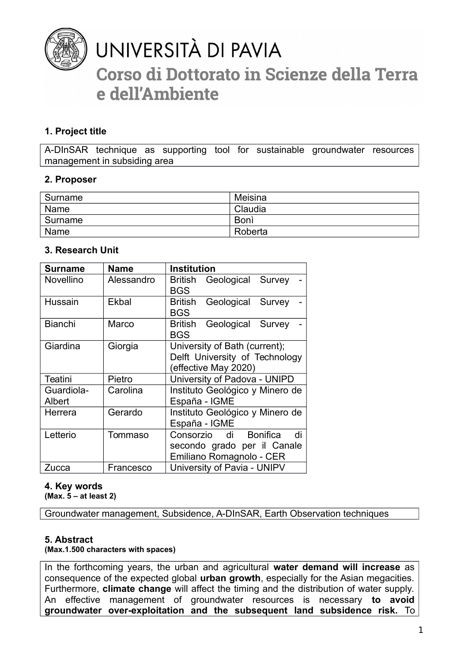

# UNIVERSITÀ DI PAVIA

## Corso di Dottorato in Scienze della Terra e dell'Ambiente

## **1. Project title**

A-DInSAR technique as supporting tool for sustainable groundwater resources management in subsiding area

### **2. Proposer**

| Surname | Meisina     |
|---------|-------------|
| Name    | Claudia     |
| Surname | <b>Boni</b> |
| Name    | Roberta     |

## **3. Research Unit**

| <b>Surname</b>   | <b>Name</b> | <b>Institution</b>                       |
|------------------|-------------|------------------------------------------|
| <b>Novellino</b> | Alessandro  | Geological Survey<br><b>British</b>      |
|                  |             | <b>BGS</b>                               |
| Hussain          | Ekbal       | <b>British</b><br>Geological Survey      |
|                  |             | <b>BGS</b>                               |
| <b>Bianchi</b>   | Marco       | <b>British</b><br>Geological Survey      |
|                  |             | <b>BGS</b>                               |
| Giardina         | Giorgia     | University of Bath (current);            |
|                  |             | Delft University of Technology           |
|                  |             | (effective May 2020)                     |
| Teatini          | Pietro      | University of Padova - UNIPD             |
| Guardiola-       | Carolina    | Instituto Geológico y Minero de          |
| Albert           |             | España - IGME                            |
| Herrera          | Gerardo     | Instituto Geológico y Minero de          |
|                  |             | España - IGME                            |
| Letterio         | Tommaso     | di<br><b>Bonifica</b><br>di<br>Consorzio |
|                  |             | secondo grado per il Canale              |
|                  |             | Emiliano Romagnolo - CER                 |
| Zucca            | Francesco   | University of Pavia - UNIPV              |

## **4. Key words**

**(Max. 5 – at least 2)**

Groundwater management, Subsidence, A-DInSAR, Earth Observation techniques

### **5. Abstract**

### **(Max.1.500 characters with spaces)**

In the forthcoming years, the urban and agricultural **water demand will increase** as consequence of the expected global **urban growth**, especially for the Asian megacities. Furthermore, **climate change** will affect the timing and the distribution of water supply. An effective management of groundwater resources is necessary **to avoid groundwater over-exploitation and the subsequent land subsidence risk.** To